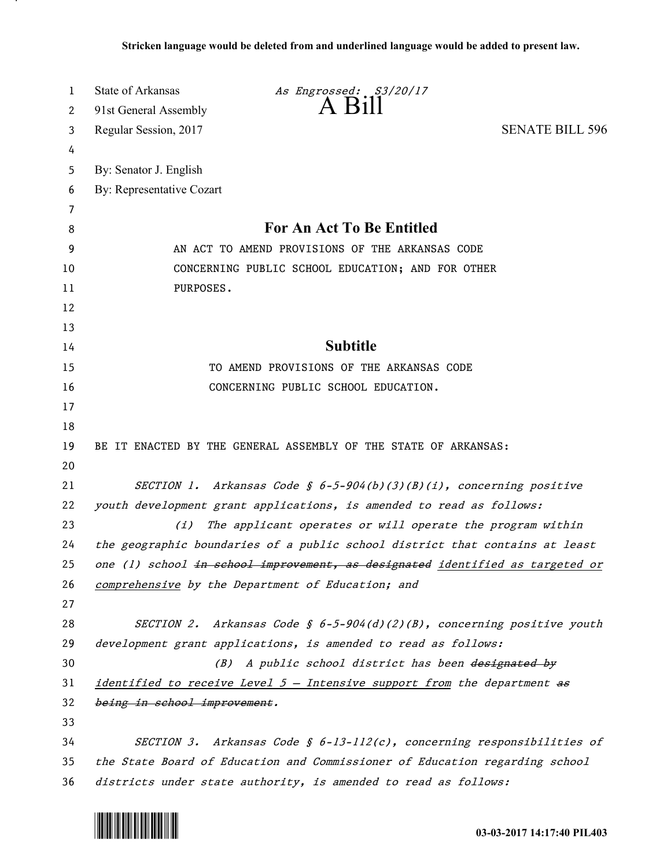| 1        | State of Arkansas            | As Engrossed: S3/20/17                                                        |                        |
|----------|------------------------------|-------------------------------------------------------------------------------|------------------------|
| 2        | 91st General Assembly        | $A$ $B11$                                                                     |                        |
| 3        | Regular Session, 2017        |                                                                               | <b>SENATE BILL 596</b> |
| 4        |                              |                                                                               |                        |
| 5        | By: Senator J. English       |                                                                               |                        |
| 6        | By: Representative Cozart    |                                                                               |                        |
| 7        |                              |                                                                               |                        |
| 8        |                              | For An Act To Be Entitled                                                     |                        |
| 9        |                              | AN ACT TO AMEND PROVISIONS OF THE ARKANSAS CODE                               |                        |
| 10       |                              | CONCERNING PUBLIC SCHOOL EDUCATION; AND FOR OTHER                             |                        |
| 11       | PURPOSES.                    |                                                                               |                        |
| 12       |                              |                                                                               |                        |
| 13       |                              |                                                                               |                        |
| 14       |                              | <b>Subtitle</b>                                                               |                        |
| 15       |                              | TO AMEND PROVISIONS OF THE ARKANSAS CODE                                      |                        |
| 16       |                              | CONCERNING PUBLIC SCHOOL EDUCATION.                                           |                        |
| 17       |                              |                                                                               |                        |
| 18<br>19 |                              | BE IT ENACTED BY THE GENERAL ASSEMBLY OF THE STATE OF ARKANSAS:               |                        |
| 20       |                              |                                                                               |                        |
| 21       |                              | SECTION 1. Arkansas Code § $6-5-904(b)(3)(B)(i)$ , concerning positive        |                        |
| 22       |                              | youth development grant applications, is amended to read as follows:          |                        |
| 23       | (i)                          | The applicant operates or will operate the program within                     |                        |
| 24       |                              | the geographic boundaries of a public school district that contains at least  |                        |
| 25       |                              | one (1) school in school improvement, as designated identified as targeted or |                        |
| 26       |                              | comprehensive by the Department of Education; and                             |                        |
| 27       |                              |                                                                               |                        |
| 28       |                              | SECTION 2. Arkansas Code § $6-5-904(d)(2)(B)$ , concerning positive youth     |                        |
| 29       |                              | development grant applications, is amended to read as follows:                |                        |
| 30       |                              | A public school district has been designated by<br>(B)                        |                        |
| 31       |                              | identified to receive Level 5 - Intensive support from the department as      |                        |
| 32       | being in school improvement. |                                                                               |                        |
| 33       |                              |                                                                               |                        |
| 34       |                              | SECTION 3. Arkansas Code § $6-13-112(c)$ , concerning responsibilities of     |                        |
| 35       |                              | the State Board of Education and Commissioner of Education regarding school   |                        |
| 36       |                              | districts under state authority, is amended to read as follows:               |                        |



.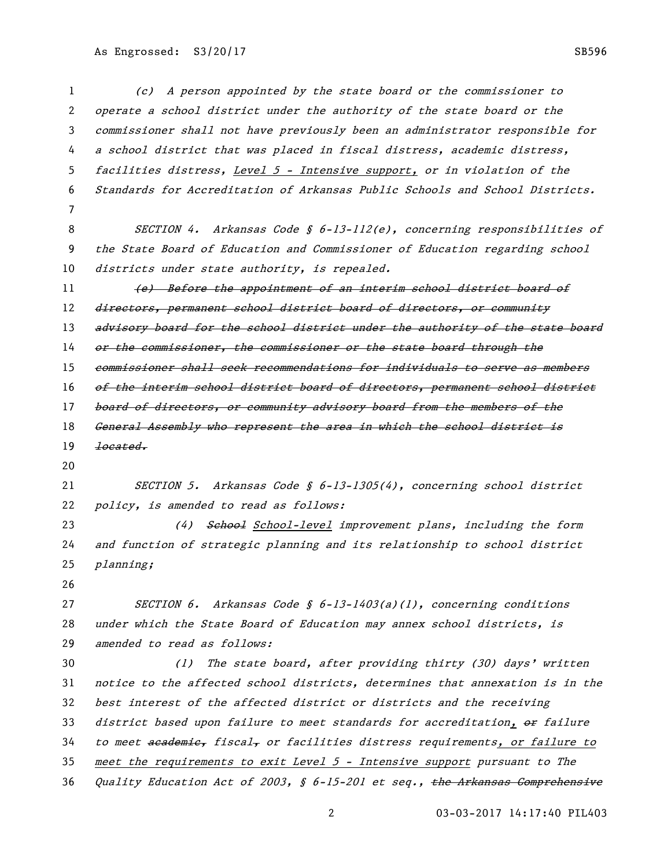(c) A person appointed by the state board or the commissioner to operate a school district under the authority of the state board or the commissioner shall not have previously been an administrator responsible for a school district that was placed in fiscal distress, academic distress, 5 facilities distress, Level 5 - Intensive support, or in violation of the Standards for Accreditation of Arkansas Public Schools and School Districts.

8 SECTION 4. Arkansas Code § 6-13-112(e), concerning responsibilities of the State Board of Education and Commissioner of Education regarding school districts under state authority, is repealed.

11 (e) Before the appointment of an interim school district board of 12 <del>directors, permanent school district board of directors, or community</del> 13 advisory board for the school district under the authority of the state board 14 or the commissioner, the commissioner or the state board through the commissioner shall seek recommendations for individuals to serve as members of the interim school district board of directors, permanent school district 17 board of directors, or community advisory board from the members of the 18 General Assembly who represent the area in which the school district is  $19 \qquad \theta$ 

 SECTION 5. Arkansas Code § 6-13-1305(4), concerning school district 22 policy, is amended to read as follows:

23 (4) Sehool School-level improvement plans, including the form and function of strategic planning and its relationship to school district planning;

 SECTION 6. Arkansas Code § 6-13-1403(a)(1), concerning conditions under which the State Board of Education may annex school districts, is amended to read as follows:

 (1) The state board, after providing thirty (30) days' written notice to the affected school districts, determines that annexation is in the best interest of the affected district or districts and the receiving 33 district based upon failure to meet standards for accreditation, or failure to meet academic, fiscal, or facilities distress requirements, or failure to meet the requirements to exit Level 5 - Intensive support pursuant to The 36 Quality Education Act of 2003, § 6-15-201 et seq., the Arkansas Comprehensive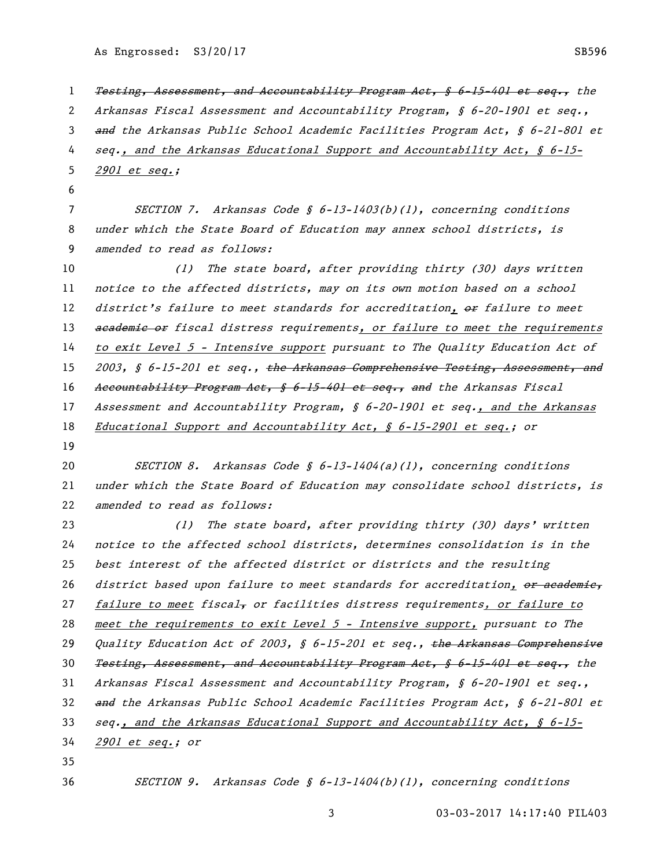1 Testing, Assessment, and Accountability Program Act, § 6-15-401 et seq., the Arkansas Fiscal Assessment and Accountability Program, § 6-20-1901 et seq., and the Arkansas Public School Academic Facilities Program Act, § 6-21-801 et seq., and the Arkansas Educational Support and Accountability Act, § 6-15- 2901 et seq.; SECTION 7. Arkansas Code § 6-13-1403(b)(1), concerning conditions under which the State Board of Education may annex school districts, is amended to read as follows: 10 (1) The state board, after providing thirty (30) days written notice to the affected districts, may on its own motion based on a school 12 district's failure to meet standards for accreditation, or failure to meet 13 academic or fiscal distress requirements, or failure to meet the requirements to exit Level 5 - Intensive support pursuant to The Quality Education Act of 15 2003, § 6-15-201 et seq., the Arkansas Comprehensive Testing, Assessment, and 16 Accountability Program Act, § 6-15-401 et seq., and the Arkansas Fiscal Assessment and Accountability Program, § 6-20-1901 et seq., and the Arkansas Educational Support and Accountability Act, § 6-15-2901 et seq.; or 20 SECTION 8. Arkansas Code §  $6-13-1404(a)(1)$ , concerning conditions under which the State Board of Education may consolidate school districts, is 22 amended to read as follows: 23 (1) The state board, after providing thirty (30) days' written notice to the affected school districts, determines consolidation is in the best interest of the affected district or districts and the resulting 26 district based upon failure to meet standards for accreditation,  $\theta$  academic, 27 failure to meet fiscal<sub> $\tau$ </sub> or facilities distress requirements, or failure to meet the requirements to exit Level 5 - Intensive support, pursuant to The 29 Quality Education Act of 2003, § 6-15-201 et seq., the Arkansas Comprehensive Testing, Assessment, and Accountability Program Act, § 6-15-401 et seq., the Arkansas Fiscal Assessment and Accountability Program, § 6-20-1901 et seq., and the Arkansas Public School Academic Facilities Program Act, § 6-21-801 et seq., and the Arkansas Educational Support and Accountability Act, § 6-15- 2901 et seq.; or 36 SECTION 9. Arkansas Code §  $6-13-1404(b)(1)$ , concerning conditions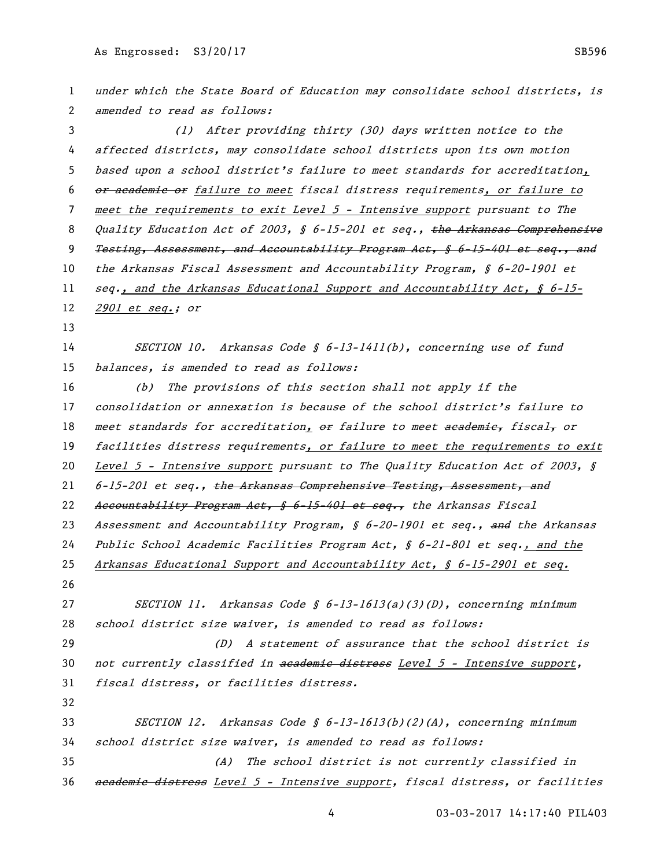under which the State Board of Education may consolidate school districts, is amended to read as follows: (1) After providing thirty (30) days written notice to the affected districts, may consolidate school districts upon its own motion based upon a school district's failure to meet standards for accreditation, or academic or failure to meet fiscal distress requirements, or failure to meet the requirements to exit Level 5 - Intensive support pursuant to The 8 Quality Education Act of 2003, § 6-15-201 et seq., the Arkansas Comprehensive Testing, Assessment, and Accountability Program Act, § 6-15-401 et seq., and the Arkansas Fiscal Assessment and Accountability Program, § 6-20-1901 et 11 seq., and the Arkansas Educational Support and Accountability Act, § 6-15- 2901 et seq.; or 14 SECTION 10. Arkansas Code § 6-13-1411(b), concerning use of fund balances, is amended to read as follows: (b) The provisions of this section shall not apply if the consolidation or annexation is because of the school district's failure to 18 meet standards for accreditation,  $\theta$ r failure to meet academic, fiscal, or facilities distress requirements, or failure to meet the requirements to exit 20 Level 5 - Intensive support pursuant to The Quality Education Act of 2003, § 21 6-15-201 et seq., the Arkansas Comprehensive Testing, Assessment, and 22 Aecountability Program Act, § 6-15-401 et seq., the Arkansas Fiscal 23 Assessment and Accountability Program, § 6-20-1901 et seq., and the Arkansas Public School Academic Facilities Program Act, § 6-21-801 et seq., and the Arkansas Educational Support and Accountability Act, § 6-15-2901 et seq. SECTION 11. Arkansas Code § 6-13-1613(a)(3)(D), concerning minimum 28 school district size waiver, is amended to read as follows: (D) A statement of assurance that the school district is 30 not currently classified in academic distress Level 5 - Intensive support, fiscal distress, or facilities distress. SECTION 12. Arkansas Code § 6-13-1613(b)(2)(A), concerning minimum school district size waiver, is amended to read as follows: (A) The school district is not currently classified in academic distress Level 5 - Intensive support, fiscal distress, or facilities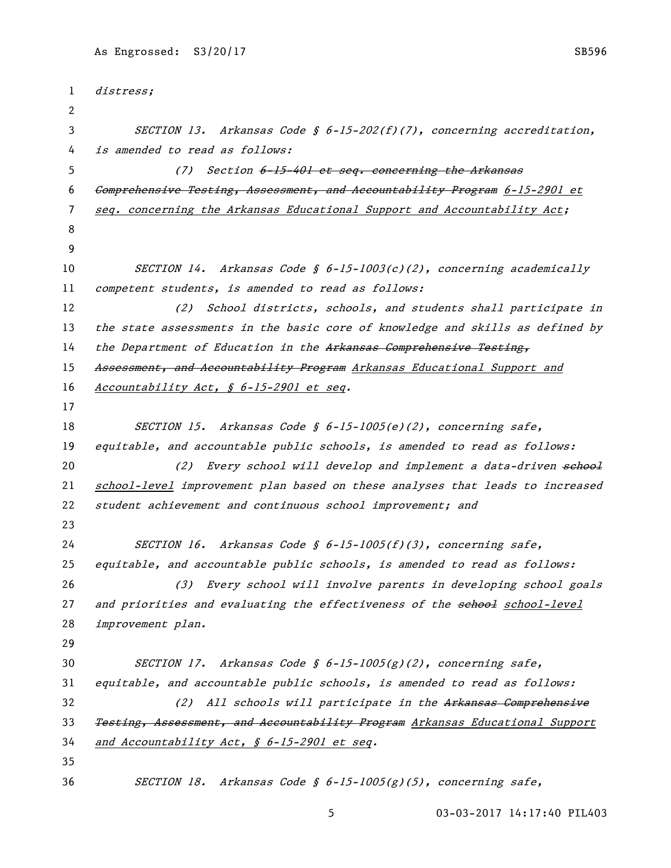| 1  | distress;                                                                     |
|----|-------------------------------------------------------------------------------|
| 2  |                                                                               |
| 3  | SECTION 13. Arkansas Code $\oint$ 6-15-202(f)(7), concerning accreditation,   |
| 4  | is amended to read as follows:                                                |
| 5  | Section 6-15-401 et seq. concerning the Arkansas<br>(7)                       |
| 6  | Comprehensive Testing, Assessment, and Accountability Program 6-15-2901 et    |
| 7  | seq. concerning the Arkansas Educational Support and Accountability Act;      |
| 8  |                                                                               |
| 9  |                                                                               |
| 10 | SECTION 14. Arkansas Code § $6-15-1003(c)(2)$ , concerning academically       |
| 11 | competent students, is amended to read as follows:                            |
| 12 | (2) School districts, schools, and students shall participate in              |
| 13 | the state assessments in the basic core of knowledge and skills as defined by |
| 14 | the Department of Education in the Arkansas Comprehensive Testing,            |
| 15 | Assessment, and Accountability Program Arkansas Educational Support and       |
| 16 | Accountability Act, § 6-15-2901 et seq.                                       |
| 17 |                                                                               |
| 18 | SECTION 15. Arkansas Code § $6-15-1005(e)(2)$ , concerning safe,              |
| 19 | equitable, and accountable public schools, is amended to read as follows:     |
| 20 | (2) Every school will develop and implement a data-driven school              |
| 21 | school-level improvement plan based on these analyses that leads to increased |
| 22 | student achievement and continuous school improvement; and                    |
| 23 |                                                                               |
| 24 | SECTION 16. Arkansas Code § $6-15-1005(f)(3)$ , concerning safe,              |
| 25 | equitable, and accountable public schools, is amended to read as follows:     |
| 26 | (3) Every school will involve parents in developing school goals              |
| 27 | and priorities and evaluating the effectiveness of the sehool school-level    |
| 28 | improvement plan.                                                             |
| 29 |                                                                               |
| 30 | SECTION 17. Arkansas Code § $6-15-1005(g)(2)$ , concerning safe,              |
| 31 | equitable, and accountable public schools, is amended to read as follows:     |
| 32 | All schools will participate in the Arkansas Comprehensive<br>(2)             |
| 33 | Testing, Assessment, and Accountability Program Arkansas Educational Support  |
| 34 | and Accountability Act, § 6-15-2901 et seq.                                   |
| 35 |                                                                               |
| 36 | SECTION 18. Arkansas Code § $6-15-1005(g)(5)$ , concerning safe,              |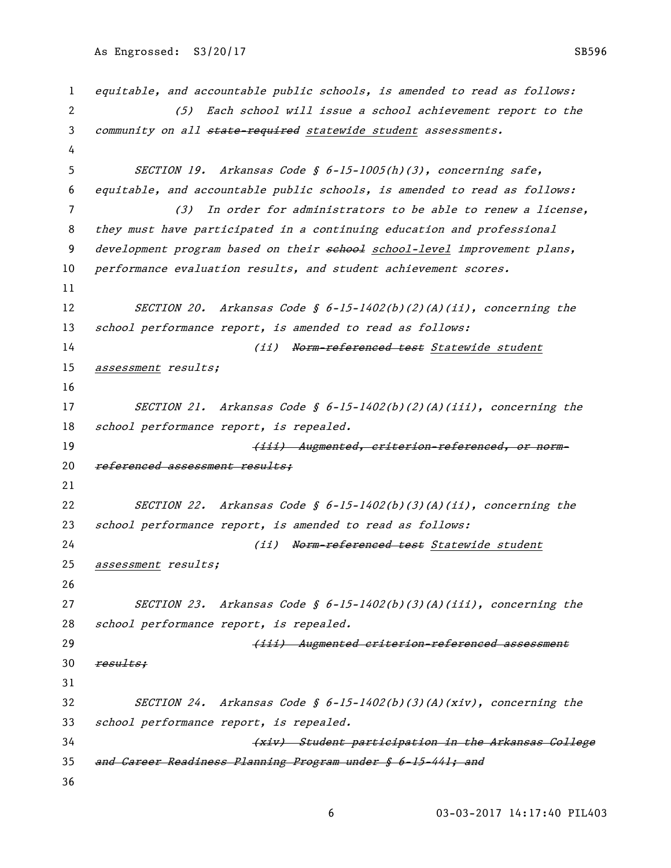```
1 equitable, and accountable public schools, is amended to read as follows:
2 (5) Each school will issue a school achievement report to the 
3 community on all state-required statewide student assessments.
4
5 SECTION 19. Arkansas Code § 6-15-1005(h)(3), concerning safe, 
6 equitable, and accountable public schools, is amended to read as follows:
7 (3) In order for administrators to be able to renew a license, 
8 they must have participated in a continuing education and professional 
9 development program based on their sehool school-level improvement plans,
10 performance evaluation results, and student achievement scores.
11
12 SECTION 20. Arkansas Code § 6-15-1402(b)(2)(A)(ii), concerning the
13 school performance report, is amended to read as follows:
14 (ii) Norm-referenced test Statewide student
15 assessment results;
16
17 SECTION 21. Arkansas Code § 6-15-1402(b)(2)(A)(iii), concerning the
18 school performance report, is repealed.
19 augmented, criterion-referenced, or norm-
20 referenced assessment results:
21
22 SECTION 22. Arkansas Code § 6-15-1402(b)(3)(A)(ii), concerning the 
23 school performance report, is amended to read as follows:
24 (ii) Norm-referenced test Statewide student
25 assessment results;
26
27 SECTION 23. Arkansas Code § 6-15-1402(b)(3)(A)(iii), concerning the 
28 school performance report, is repealed.
29 (iii) Augmented criterion-referenced assessment 
30 results:
31
32 SECTION 24. Arkansas Code § 6-15-1402(b)(3)(A)(xiv), concerning the 
33 school performance report, is repealed.
34 (xiv) Student participation in the Arkansas College 
35 and Career Readiness Planning Program under § 6-15-441; and
36
```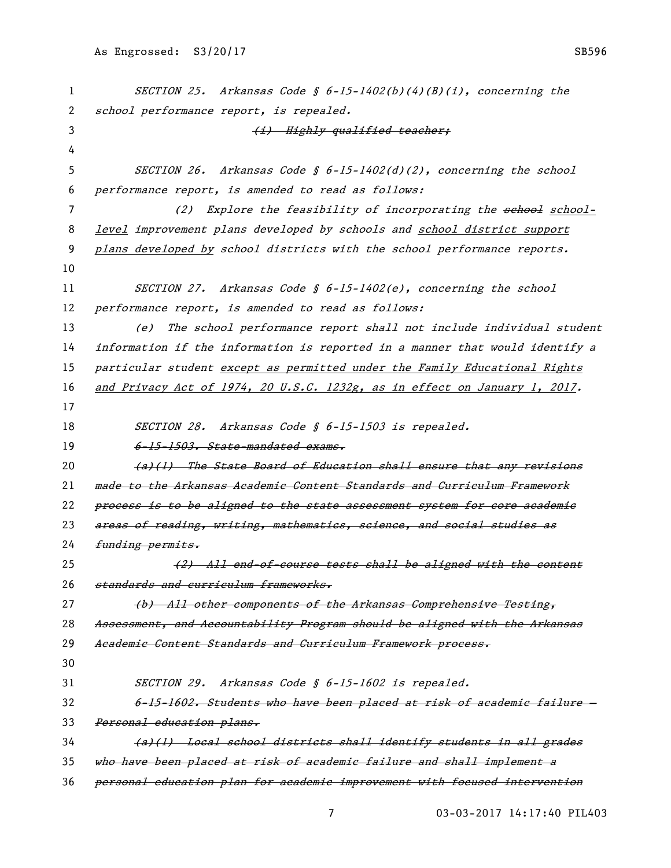| 1  | SECTION 25. Arkansas Code § 6-15-1402(b)(4)(B)(i), concerning the            |
|----|------------------------------------------------------------------------------|
| 2  | school performance report, is repealed.                                      |
| 3  | (i) Highly qualified teacher;                                                |
| 4  |                                                                              |
| 5  | SECTION 26. Arkansas Code § $6-15-1402(d)(2)$ , concerning the school        |
| 6  | performance report, is amended to read as follows:                           |
| 7  | Explore the feasibility of incorporating the school-<br>(2)                  |
| 8  | level improvement plans developed by schools and school district support     |
| 9  | plans developed by school districts with the school performance reports.     |
| 10 |                                                                              |
| 11 | SECTION 27. Arkansas Code § $6-15-1402(e)$ , concerning the school           |
| 12 | performance report, is amended to read as follows:                           |
| 13 | The school performance report shall not include individual student<br>(e)    |
| 14 | information if the information is reported in a manner that would identify a |
| 15 | particular student except as permitted under the Family Educational Rights   |
| 16 | and Privacy Act of 1974, 20 U.S.C. 1232g, as in effect on January 1, 2017.   |
| 17 |                                                                              |
| 18 | SECTION 28. Arkansas Code § 6-15-1503 is repealed.                           |
| 19 | 6-15-1503. State-mandated exams.                                             |
| 20 | (a)(1) The State Board of Education shall ensure that any revisions          |
| 21 | made to the Arkansas Academic Content Standards and Curriculum Framework     |
| 22 | process is to be aligned to the state assessment system for core academic    |
| 23 | areas of reading, writing, mathematics, science, and social studies as       |
| 24 | funding permits.                                                             |
| 25 | (2) All end of course tests shall be aligned with the content                |
| 26 | standards and curriculum frameworks.                                         |
| 27 | (b) All other components of the Arkansas Comprehensive Testing,              |
| 28 | Assessment, and Accountability Program should be aligned with the Arkansas   |
| 29 | Academic Content Standards and Curriculum Framework process.                 |
| 30 |                                                                              |
| 31 | SECTION 29. Arkansas Code § 6-15-1602 is repealed.                           |
| 32 | 6-15-1602. Students who have been placed at risk of academic failure -       |
| 33 | Personal education plans.                                                    |
| 34 | (a)(1) Local school districts shall identify students in all grades          |
| 35 | who have been placed at risk of academic failure and shall implement a       |
| 36 | personal education plan for academic improvement with focused intervention   |
|    |                                                                              |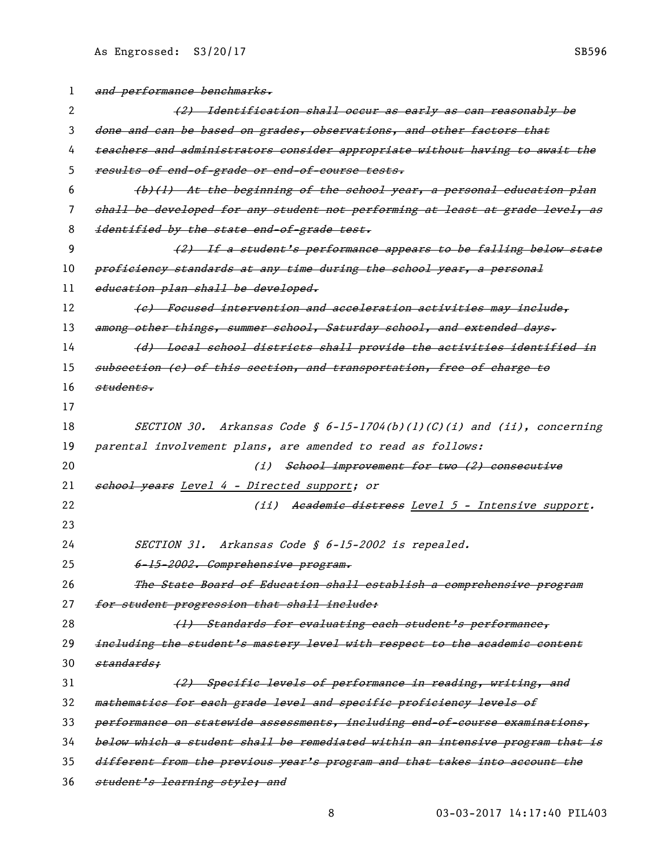| 1  | and performance benchmarks.                                                   |
|----|-------------------------------------------------------------------------------|
| 2  | (2) Identification shall occur as early as can reasonably be                  |
| 3  | done and can be based on grades, observations, and other factors that         |
| 4  | teachers and administrators consider appropriate without having to await the  |
| 5  | results of end-of-grade or end-of-course tests.                               |
| 6  | (b)(1) At the beginning of the school year, a personal education plan         |
| 7  | shall be developed for any student not performing at least at grade level, as |
| 8  | identified by the state end-of-grade test.                                    |
| 9  | (2) If a student's performance appears to be falling below state              |
| 10 | proficiency standards at any time during the school year, a personal          |
| 11 | education plan shall be developed.                                            |
| 12 | (e) Foeused intervention and acceleration activities may include,             |
| 13 | among other things, summer school, Saturday school, and extended days.        |
| 14 | (d) Local school districts shall provide the activities identified in         |
| 15 | subsection (e) of this section, and transportation, free of charge to         |
| 16 | <del>students.</del>                                                          |
| 17 |                                                                               |
| 18 | SECTION 30. Arkansas Code $\oint$ 6-15-1704(b)(l)(C)(i) and (ii), concerning  |
| 19 | parental involvement plans, are amended to read as follows:                   |
| 20 | (i) School improvement for two (2) consecutive                                |
| 21 | school years Level 4 - Directed support; or                                   |
| 22 | (ii) Academic distress Level 5 - Intensive support.                           |
| 23 |                                                                               |
| 24 | SECTION 31. Arkansas Code § 6-15-2002 is repealed.                            |
| 25 | 6-15-2002. Comprehensive program.                                             |
| 26 | The State Board of Education shall establish a comprehensive program          |
| 27 | for student progression that shall include:                                   |
| 28 | (1) Standards for evaluating each student's performance,                      |
| 29 | including the student's mastery level with respect to the academic content    |
| 30 | standards:                                                                    |
| 31 | (2) Specific levels of performance in reading, writing, and                   |
| 32 | mathematies for each grade level and specific proficiency levels of           |
| 33 | performance on statewide assessments, including end-of-course examinations,   |
| 34 | below which a student shall be remediated within an intensive program that is |
| 35 | different from the previous year's program and that takes into account the    |
| 36 | student's learning style; and                                                 |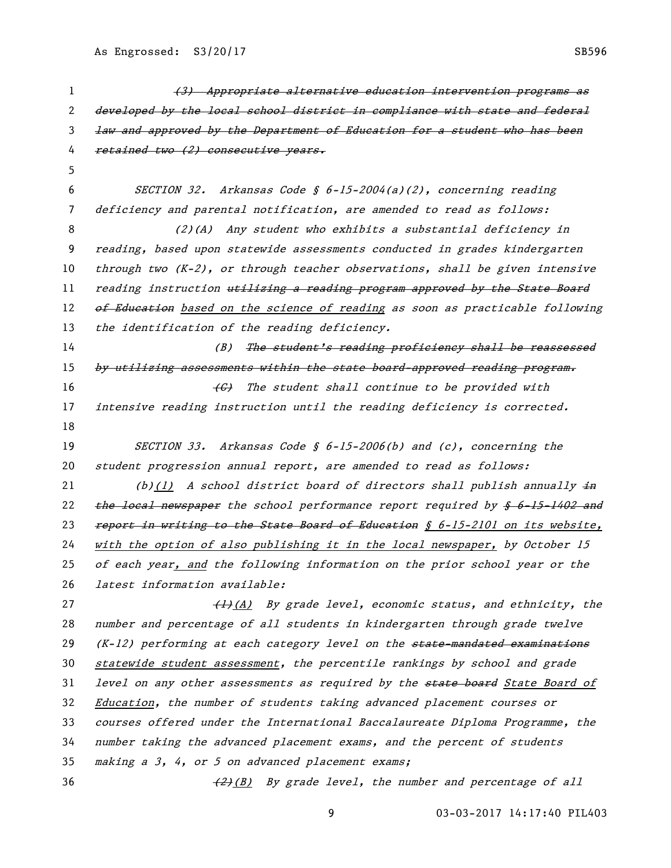| $\mathbf{1}$ | (3) Appropriate alternative education intervention programs as                      |
|--------------|-------------------------------------------------------------------------------------|
| 2            | developed by the local school district in compliance with state and federal         |
| 3            | law and approved by the Department of Education for a student who has been          |
| 4            | retained two (2) consecutive years.                                                 |
| 5            |                                                                                     |
| 6            | SECTION 32. Arkansas Code § $6-15-2004(a)(2)$ , concerning reading                  |
| 7            | deficiency and parental notification, are amended to read as follows:               |
| 8            | (2)(A) Any student who exhibits a substantial deficiency in                         |
| 9            | reading, based upon statewide assessments conducted in grades kindergarten          |
| 10           | through two $(K-2)$ , or through teacher observations, shall be given intensive     |
| 11           | reading instruction utilizing a reading program approved by the State Board         |
| 12           | of Edueation based on the science of reading as soon as practicable following       |
| 13           | the identification of the reading deficiency.                                       |
| 14           | The student's reading proficiency shall be reassessed<br>(B)                        |
| 15           | by utilizing assessments within the state board-approved reading program.           |
| 16           | The student shall continue to be provided with<br>$\left(\textcolor{red}{G}\right)$ |
| 17           | intensive reading instruction until the reading deficiency is corrected.            |
| 18           |                                                                                     |
| 19           | SECTION 33. Arkansas Code § $6-15-2006(b)$ and (c), concerning the                  |
| 20           | student progression annual report, are amended to read as follows:                  |
| 21           | $(b)(1)$ A school district board of directors shall publish annually $\pm n$        |
| 22           | the local newspaper the school performance report required by \$ 6-15-1402 and      |
| 23           | report in writing to the State Board of Education § 6-15-2101 on its website,       |
| 24           | with the option of also publishing it in the local newspaper, by October 15         |
| 25           | of each year, and the following information on the prior school year or the         |
| 26           | latest information available:                                                       |
| 27           | (1)(A) By grade level, economic status, and ethnicity, the                          |
| 28           | number and percentage of all students in kindergarten through grade twelve          |
| 29           | (K-12) performing at each category level on the state mandated examinations         |
| 30           | statewide student assessment, the percentile rankings by school and grade           |
| 31           | level on any other assessments as required by the state board State Board of        |
| 32           | Education, the number of students taking advanced placement courses or              |
| 33           | courses offered under the International Baccalaureate Diploma Programme, the        |
| 34           | number taking the advanced placement exams, and the percent of students             |
| 35           | making a 3, 4, or 5 on advanced placement exams;                                    |
| 36           | (2)(B) By grade level, the number and percentage of all                             |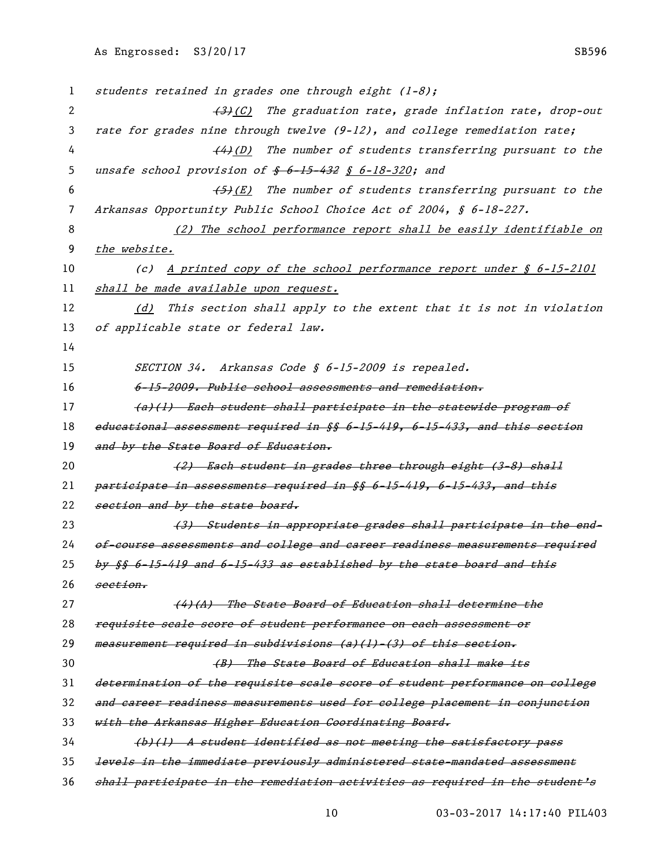| 1  | students retained in grades one through eight (1-8);                                 |
|----|--------------------------------------------------------------------------------------|
| 2  | (3)(C) The graduation rate, grade inflation rate, drop-out                           |
| 3  | rate for grades nine through twelve $(9-12)$ , and college remediation rate;         |
| 4  | $(4)$ (D) The number of students transferring pursuant to the                        |
| 5. | unsafe school provision of $$6-15-432 \t S 6-18-320$ ; and                           |
| 6  | $\left( \frac{f}{f} \right)$ (E) The number of students transferring pursuant to the |
| 7  | Arkansas Opportunity Public School Choice Act of 2004, § 6-18-227.                   |
| 8  | (2) The school performance report shall be easily identifiable on                    |
| 9  | the website.                                                                         |
| 10 | (c) $\Delta$ printed copy of the school performance report under $\delta$ 6-15-2101  |
| 11 | shall be made available upon request.                                                |
| 12 | This section shall apply to the extent that it is not in violation<br>(d)            |
| 13 | of applicable state or federal law.                                                  |
| 14 |                                                                                      |
| 15 | SECTION 34. Arkansas Code § 6-15-2009 is repealed.                                   |
| 16 | 6-15-2009. Public school assessments and remediation.                                |
| 17 | (a)(l) Each student shall participate in the statewide program of                    |
| 18 | educational assessment required in §§ 6-15-419, 6-15-433, and this section           |
| 19 | and by the State Board of Education.                                                 |
| 20 | (2) Each student in grades three through eight (3-8) shall                           |
| 21 | participate in assessments required in §§ 6-15-419, 6-15-433, and this               |
| 22 | section and by the state board.                                                      |
| 23 | (3) Students in appropriate grades shall participate in the end-                     |
| 24 | of-course assessments and college and career readiness measurements required         |
| 25 | by §§ 6-15-419 and 6-15-433 as established by the state board and this               |
| 26 | section.                                                                             |
| 27 | (4)(A) The State Board of Education shall determine the                              |
| 28 | requisite scale score of student performance on each assessment or                   |
| 29 | measurement required in subdivisions (a)(1) (3) of this section.                     |
| 30 | (B) The State Board of Education shall make its                                      |
| 31 | determination of the requisite scale score of student performance on college         |
| 32 | and career readiness measurements used for college placement in conjunction          |
| 33 | with the Arkansas Higher Education Coordinating Board.                               |
| 34 | (b)(1) A student identified as not meeting the satisfactory pass                     |
| 35 | levels in the immediate previously administered state-mandated assessment            |
| 36 | shall participate in the remediation activities as required in the student's         |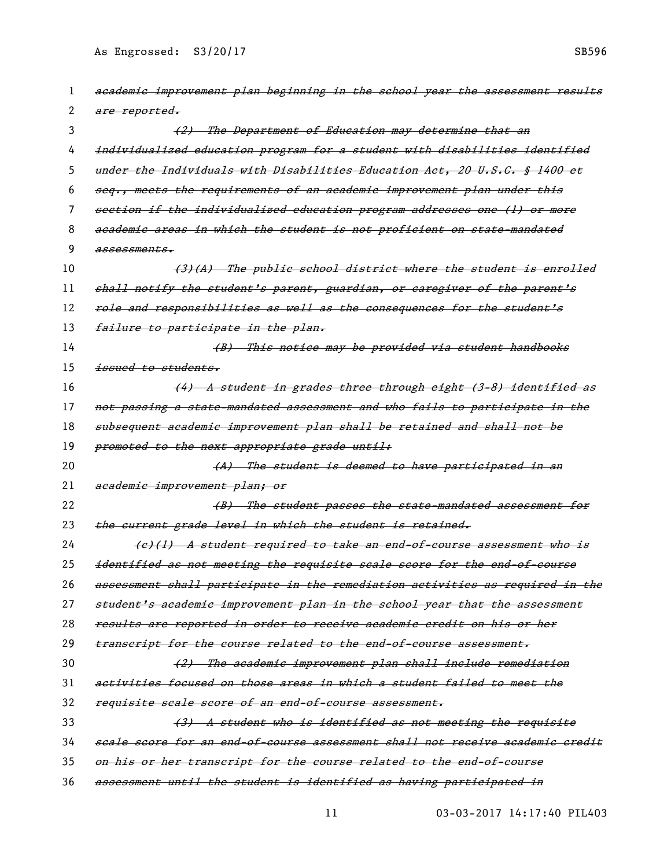| 1  | academic improvement plan beginning in the school year the assessment results |
|----|-------------------------------------------------------------------------------|
| 2  | are reported.                                                                 |
| 3  | (2) The Department of Education may determine that an                         |
| 4  | individualized education program for a student with disabilities identified   |
| 5  | under the Individuals with Disabilities Education Act, 20 U.S.C. § 1400 et    |
| 6  | seg., meets the requirements of an academic improvement plan under this       |
| 7  | section if the individualized education program addresses one (1) or more     |
| 8  | academic areas in which the student is not proficient on state-mandated       |
| 9  | assessments.                                                                  |
| 10 | (3)(A) The public school district where the student is enrolled               |
| 11 | shall notify the student's parent, guardian, or caregiver of the parent's     |
| 12 | role and responsibilities as well as the consequences for the student's       |
| 13 | failure to participate in the plan.                                           |
| 14 | (B) This notice may be provided via student handbooks                         |
| 15 | issued to students.                                                           |
| 16 | (4) A student in grades three through eight (3-8) identified as               |
| 17 | not passing a state-mandated assessment and who fails to participate in the   |
| 18 | subsequent academic improvement plan shall be retained and shall not be       |
| 19 | promoted to the next appropriate grade until:                                 |
| 20 | (A) The student is deemed to have participated in an                          |
| 21 | academic improvement plan; or                                                 |
| 22 | (B) The student passes the state-mandated assessment for                      |
| 23 | the current grade level in which the student is retained.                     |
| 24 | (e)(1) A student required to take an end-of-course assessment who is          |
| 25 | identified as not meeting the requisite scale score for the end-of-course     |
| 26 | assessment shall participate in the remediation activities as required in the |
| 27 | student's academic improvement plan in the school year that the assessment    |
| 28 | results are reported in order to receive academic credit on his or her        |
| 29 | transeript for the course related to the end-of-course assessment.            |
| 30 | (2) The academic improvement plan shall include remediation                   |
| 31 | activities focused on those areas in which a student failed to meet the       |
| 32 | requisite scale score of an end-of-course assessment.                         |
| 33 | (3) A student who is identified as not meeting the requisite                  |
| 34 | seale seore for an end-of-course assessment shall not receive academic credit |
| 35 | on his or her transeript for the course related to the end-of-course          |
| 36 | assessment until the student is identified as having participated in          |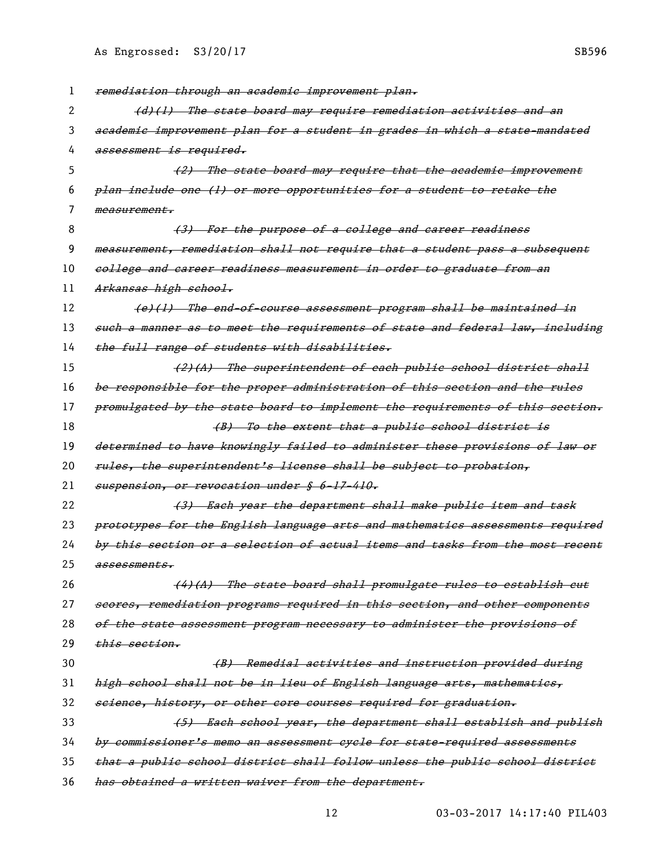| 1  | remediation through an academic improvement plan.                             |
|----|-------------------------------------------------------------------------------|
| 2  | (d)(l) The state board may require remediation activities and an              |
| 3  | academic improvement plan for a student in grades in which a state-mandated   |
| 4  | assessment is required.                                                       |
| 5  | (2) The state board may require that the academic improvement                 |
| 6  | plan include one (1) or more opportunities for a student to retake the        |
| 7  | measurements                                                                  |
| 8  | (3) For the purpose of a college and career readiness                         |
| 9  | measurement, remediation shall not require that a student pass a subsequent   |
| 10 | college and career readiness measurement in order to graduate from an         |
| 11 | Arkansas high school.                                                         |
| 12 | (e)(1) The end-of-course assessment program shall be maintained in            |
| 13 | such a manner as to meet the requirements of state and federal law, including |
| 14 | the full range of students with disabilities.                                 |
| 15 | (2)(A) The superintendent of each public school district shall                |
| 16 | be responsible for the proper administration of this section and the rules    |
| 17 | promulgated by the state board to implement the requirements of this section. |
| 18 | (B) To the extent that a public school district is                            |
| 19 | determined to have knowingly failed to administer these provisions of law or  |
| 20 | rules, the superintendent's license shall be subject to probation,            |
| 21 | suspension, or revocation under § 6-17-410.                                   |
| 22 | (3) Each year the department shall make public item and task                  |
| 23 | prototypes for the English language arts and mathematics assessments required |
| 24 | by this section or a selection of actual items and tasks from the most recent |
| 25 | assessments.                                                                  |
| 26 | (4)(A) The state board shall promulgate rules to establish cut                |
| 27 | scores, remediation programs required in this section, and other components   |
| 28 | of the state assessment program necessary to administer the provisions of     |
| 29 | <del>this section.</del>                                                      |
| 30 | (B) Remedial activities and instruction provided during                       |
| 31 | high school shall not be in lieu of English language arts, mathematics,       |
| 32 | science, history, or other core courses required for graduation.              |
| 33 | (5) Each school year, the department shall establish and publish              |
| 34 | by commissioner's memo an assessment eyele for state-required assessments     |
| 35 | that a public school district shall follow unless the public school district  |
| 36 | has obtained a written waiver from the department.                            |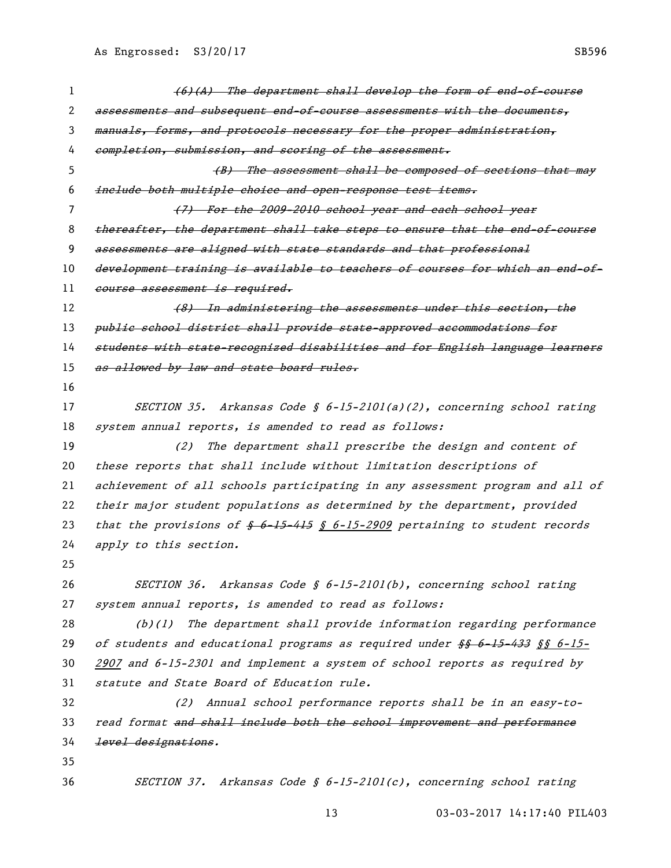| 1  | (6)(A) The department shall develop the form of end of course                 |
|----|-------------------------------------------------------------------------------|
| 2  | assessments and subsequent end-of-course assessments with the documents,      |
| 3  | manuals, forms, and protocols necessary for the proper administration,        |
| 4  | completion, submission, and scoring of the assessment.                        |
| 5  | (B) The assessment shall be composed of sections that may                     |
| 6  | include both multiple choice and open-response test items.                    |
| 7  | (7) For the 2009-2010 school year and each school year                        |
| 8  | thereafter, the department shall take steps to ensure that the end-of-course  |
| 9  | assessments are aligned with state standards and that professional            |
| 10 | development training is available to teachers of courses for which an end-of- |
| 11 | <del>course assessment is required.</del>                                     |
| 12 | (8) In administering the assessments under this section, the                  |
| 13 | publie school district shall provide state-approved accommodations for        |
| 14 | students with state-recognized disabilities and for English language learners |
| 15 | as allowed by law and state board rules.                                      |
| 16 |                                                                               |
| 17 | SECTION 35. Arkansas Code § $6-15-2101(a)(2)$ , concerning school rating      |
| 18 | system annual reports, is amended to read as follows:                         |
| 19 | The department shall prescribe the design and content of<br>(2)               |
| 20 | these reports that shall include without limitation descriptions of           |
| 21 | achievement of all schools participating in any assessment program and all of |
| 22 | their major student populations as determined by the department, provided     |
| 23 | that the provisions of $$6-15-415$ $$6-15-2909$ pertaining to student records |
| 24 | apply to this section.                                                        |
| 25 |                                                                               |
| 26 | SECTION 36. Arkansas Code § $6-15-2101(b)$ , concerning school rating         |
| 27 | system annual reports, is amended to read as follows:                         |
| 28 | $(b)(1)$ The department shall provide information regarding performance       |
| 29 | of students and educational programs as required under $$6-15-433$ $$6-15-$   |
| 30 | 2907 and 6-15-2301 and implement a system of school reports as required by    |
| 31 | statute and State Board of Education rule.                                    |
| 32 | Annual school performance reports shall be in an easy-to-<br>(2)              |
| 33 | read format and shall include both the school improvement and performance     |
| 34 | level designations.                                                           |
| 35 |                                                                               |
| 36 | SECTION 37. Arkansas Code § $6-15-2101(c)$ , concerning school rating         |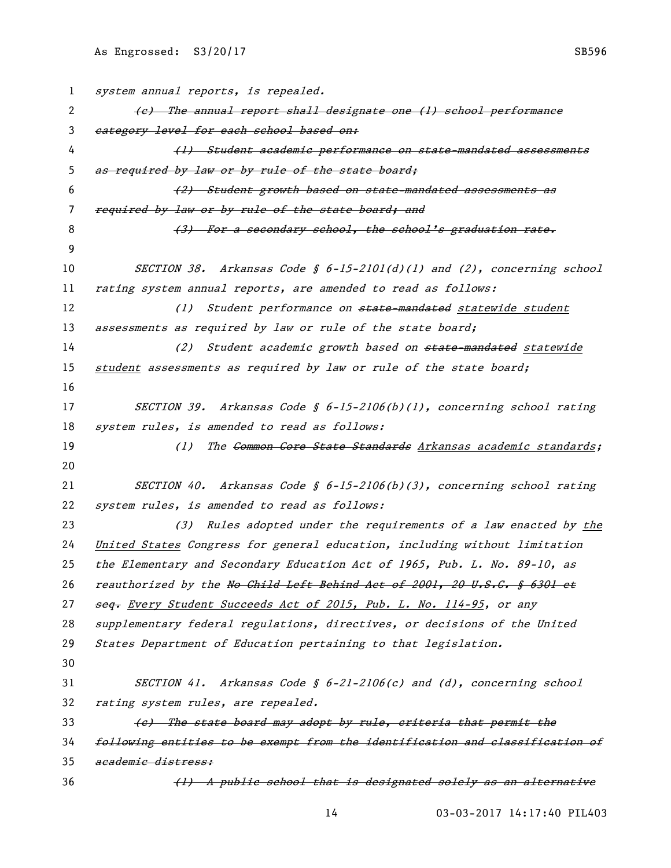| 1  | system annual reports, is repealed.                                            |
|----|--------------------------------------------------------------------------------|
| 2  | (e) The annual report shall designate one (1) school performance               |
| 3  | eategory level for each school based on:                                       |
| 4  | (1) Student academic performance on state-mandated assessments                 |
| 5  | as required by law or by rule of the state board;                              |
| 6  | (2) Student growth based on state-mandated assessments as                      |
| 7  | required by law or by rule of the state board; and                             |
| 8  | (3) For a secondary school, the school's graduation rate.                      |
| 9  |                                                                                |
| 10 | SECTION 38. Arkansas Code § $6$ -15-2101(d)(1) and (2), concerning school      |
| 11 | rating system annual reports, are amended to read as follows:                  |
| 12 | Student performance on state-mandated statewide student<br>(1)                 |
| 13 | assessments as required by law or rule of the state board;                     |
| 14 | (2) Student academic growth based on state-mandated statewide                  |
| 15 | student assessments as required by law or rule of the state board;             |
| 16 |                                                                                |
| 17 | SECTION 39. Arkansas Code § $6-15-2106(b)(1)$ , concerning school rating       |
| 18 | system rules, is amended to read as follows:                                   |
| 19 | The <del>Common Core State Standards</del> Arkansas academic standards;<br>(1) |
| 20 |                                                                                |
| 21 | SECTION 40. Arkansas Code § $6-15-2106(b)(3)$ , concerning school rating       |
| 22 | system rules, is amended to read as follows:                                   |
| 23 | (3) Rules adopted under the requirements of a law enacted by the               |
| 24 | United States Congress for general education, including without limitation     |
| 25 | the Elementary and Secondary Education Act of 1965, Pub. L. No. 89-10, as      |
| 26 | reauthorized by the No Child Left Behind Act of 2001, 20 U.S.C. § 6301 et      |
| 27 | seq. Every Student Succeeds Act of 2015, Pub. L. No. 114-95, or any            |
| 28 | supplementary federal regulations, directives, or decisions of the United      |
| 29 | States Department of Education pertaining to that legislation.                 |
| 30 |                                                                                |
| 31 | SECTION 41. Arkansas Code § $6-21-2106(c)$ and (d), concerning school          |
| 32 | rating system rules, are repealed.                                             |
| 33 | (e) The state board may adopt by rule, criteria that permit the                |
| 34 | following entities to be exempt from the identification and classification of  |
| 35 | academic distress:                                                             |
| 36 | (1) A public school that is designated solely as an alternative                |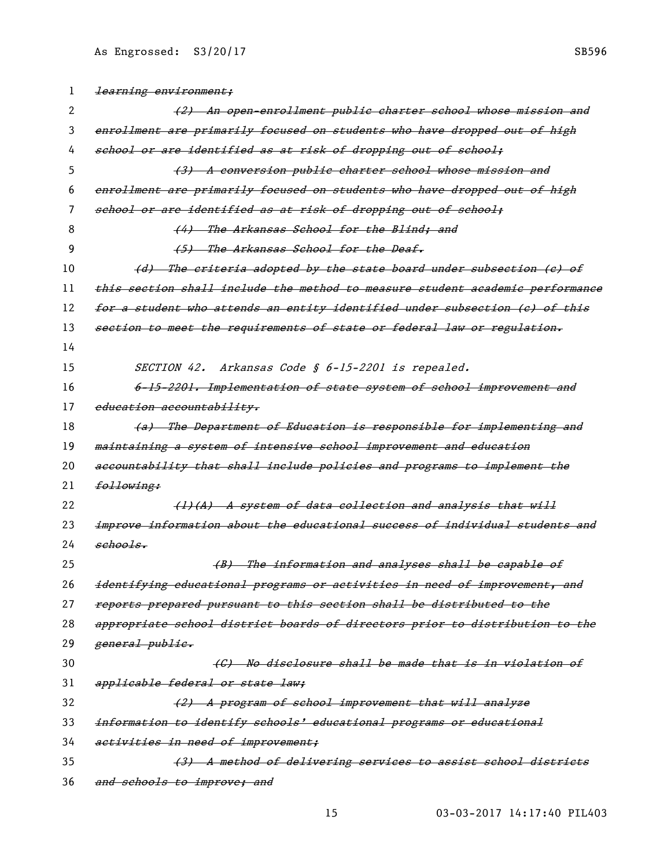| 1  | learning environment;                                                         |
|----|-------------------------------------------------------------------------------|
| 2  | (2) An open-enrollment public charter school whose mission and                |
| 3  | enrollment are primarily focused on students who have dropped out of high     |
| 4  | school or are identified as at risk of dropping out of school;                |
| 5  | (3) A conversion public charter school whose mission and                      |
| 6  | enrollment are primarily focused on students who have dropped out of high     |
| 7  | school or are identified as at risk of dropping out of school;                |
| 8  | (4) The Arkansas School for the Blind; and                                    |
| 9  | (5) The Arkansas School for the Deaf.                                         |
| 10 | (d) The criteria adopted by the state board under subsection (e) of           |
| 11 | this section shall include the method to measure student academic performance |
| 12 | for a student who attends an entity identified under subsection (e) of this   |
| 13 | section to meet the requirements of state or federal law or regulation.       |
| 14 |                                                                               |
| 15 | SECTION 42. Arkansas Code § 6-15-2201 is repealed.                            |
| 16 | 6-15-2201. Implementation of state system of school improvement and           |
| 17 | education accountability.                                                     |
| 18 | (a) The Department of Education is responsible for implementing and           |
| 19 | maintaining a system of intensive school improvement and education            |
| 20 | accountability that shall include policies and programs to implement the      |
| 21 | following:                                                                    |
| 22 | (1)(A) A system of data collection and analysis that will                     |
| 23 | improve information about the educational success of individual students and  |
| 24 | schools.                                                                      |
| 25 | (B) The information and analyses shall be capable of                          |
| 26 | identifying educational programs or activities in need of improvement, and    |
| 27 | reports prepared pursuant to this section shall be distributed to the         |
| 28 | appropriate school district boards of directors prior to distribution to the  |
| 29 | general public.                                                               |
| 30 | (C) No disclosure shall be made that is in violation of                       |
| 31 | applicable federal or state law;                                              |
| 32 | (2) A program of school improvement that will analyze                         |
| 33 | information to identify schools' educational programs or educational          |
| 34 | activities in need of improvement;                                            |
| 35 | (3) A method of delivering services to assist school districts                |
| 36 | and schools to improve; and                                                   |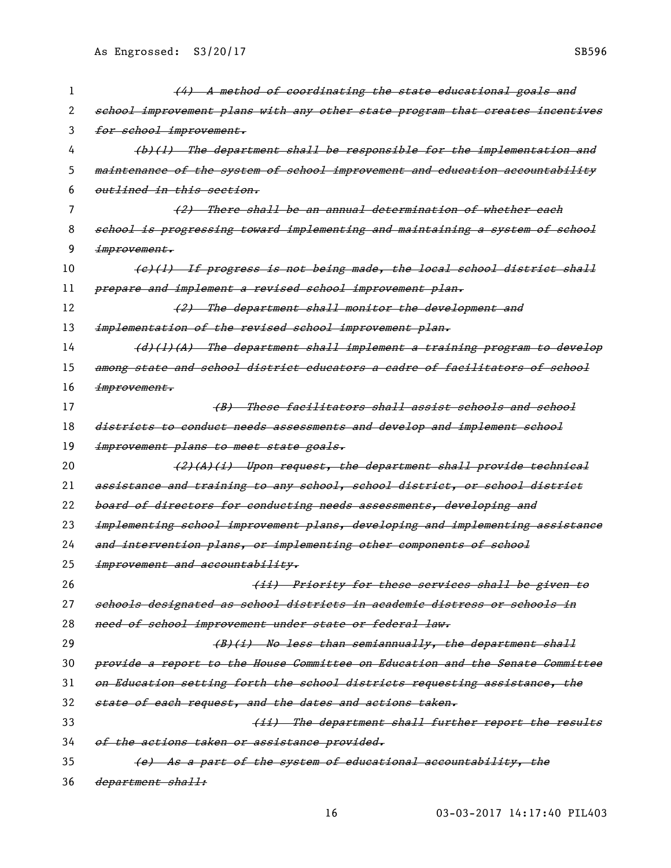| 1  | (4) A method of coordinating the state educational goals and                  |
|----|-------------------------------------------------------------------------------|
| 2  | school improvement plans with any other state program that creates incentives |
| 3  | for school improvement.                                                       |
| 4  | $(b)$ (1) The department shall be responsible for the implementation and      |
| 5  | maintenance of the system of school improvement and education accountability  |
| 6  | outlined in this section.                                                     |
| 7  | (2) There shall be an annual determination of whether each                    |
| 8  | school is progressing toward implementing and maintaining a system of school  |
| 9  | improvement.                                                                  |
| 10 | (e)(1) If progress is not being made, the local school district shall         |
| 11 | prepare and implement a revised school improvement plan.                      |
| 12 | (2) The department shall monitor the development and                          |
| 13 | implementation of the revised school improvement plan.                        |
| 14 | (d)(l)(A) The department shall implement a training program to develop        |
| 15 | among state and school district educators a cadre of facilitators of school   |
| 16 | improvement.                                                                  |
| 17 | (B) These facilitators shall assist schools and school                        |
| 18 | districts to conduct needs assessments and develop and implement school       |
| 19 | improvement plans to meet state goals.                                        |
| 20 | (2)(A)(i) Upon request, the department shall provide technical                |
| 21 | assistance and training to any school, school district, or school district    |
| 22 | board of directors for conducting needs assessments, developing and           |
| 23 | implementing school improvement plans, developing and implementing assistance |
| 24 | and intervention plans, or implementing other components of school            |
| 25 | improvement and accountability.                                               |
| 26 | (ii) Priority for these services shall be given to                            |
| 27 | schools designated as school districts in academic distress or schools in     |
| 28 | need of school improvement under state or federal law.                        |
| 29 | (B)(i) No less than semiannually, the department shall                        |
| 30 | provide a report to the House Committee on Education and the Senate Committee |
| 31 | on Education setting forth the school districts requesting assistance, the    |
| 32 | state of each request, and the dates and actions taken.                       |
| 33 | (ii) The department shall further report the results                          |
|    |                                                                               |
| 34 | of the actions taken or assistance provided.                                  |
| 35 | (e) As a part of the system of educational accountability, the                |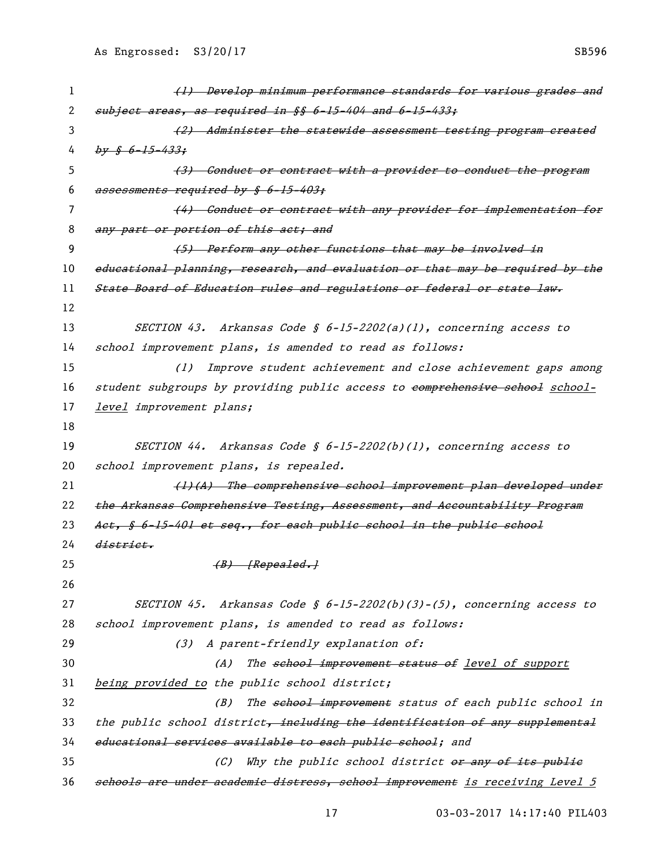| 1  | (1) Develop minimum performance standards for various grades and              |
|----|-------------------------------------------------------------------------------|
| 2  | subject areas, as required in §§ 6-15-404 and 6-15-433;                       |
| 3  | (2) Administer the statewide assessment testing program created               |
| 4  | $by \frac{6}{5}$ 6-15-433;                                                    |
| 5  | (3) Conduct or contract with a provider to conduct the program                |
| 6  | assessments required by § 6-15-403;                                           |
| 7  | (4) Conduct or contract with any provider for implementation for              |
| 8  | any part or portion of this act; and                                          |
| 9  | (5) Perform any other functions that may be involved in                       |
| 10 | educational planning, research, and evaluation or that may be required by the |
| 11 | State Board of Education rules and regulations or federal or state law.       |
| 12 |                                                                               |
| 13 | SECTION 43. Arkansas Code § 6-15-2202(a)(1), concerning access to             |
| 14 | school improvement plans, is amended to read as follows:                      |
| 15 | Improve student achievement and close achievement gaps among<br>(1)           |
| 16 | student subgroups by providing public access to comprehensive school school-  |
| 17 | level improvement plans;                                                      |
| 18 |                                                                               |
| 19 | SECTION 44. Arkansas Code § 6-15-2202(b)(1), concerning access to             |
| 20 | school improvement plans, is repealed.                                        |
| 21 | (1)(A) The comprehensive school improvement plan developed under              |
| 22 | the Arkansas Comprehensive Testing, Assessment, and Accountability Program    |
| 23 | Act, § 6-15-401 et seq., for each public school in the public school          |
| 24 | <del>district.</del>                                                          |
| 25 | $(B)$ [Repealed.]                                                             |
| 26 |                                                                               |
| 27 | SECTION 45. Arkansas Code § $6-15-2202(b)(3)-(5)$ , concerning access to      |
| 28 | school improvement plans, is amended to read as follows:                      |
| 29 | (3) A parent-friendly explanation of:                                         |
| 30 | (A)<br>The school improvement status of level of support                      |
| 31 | being provided to the public school district;                                 |
| 32 | The school improvement status of each public school in<br>(B)                 |
| 33 | the public school district, ineluding the identification of any supplemental  |
| 34 | educational services available to each public school; and                     |
| 35 | Why the public school district or any of its publie<br>(C)                    |
| 36 | schools are under academic distress, school improvement is receiving Level 5  |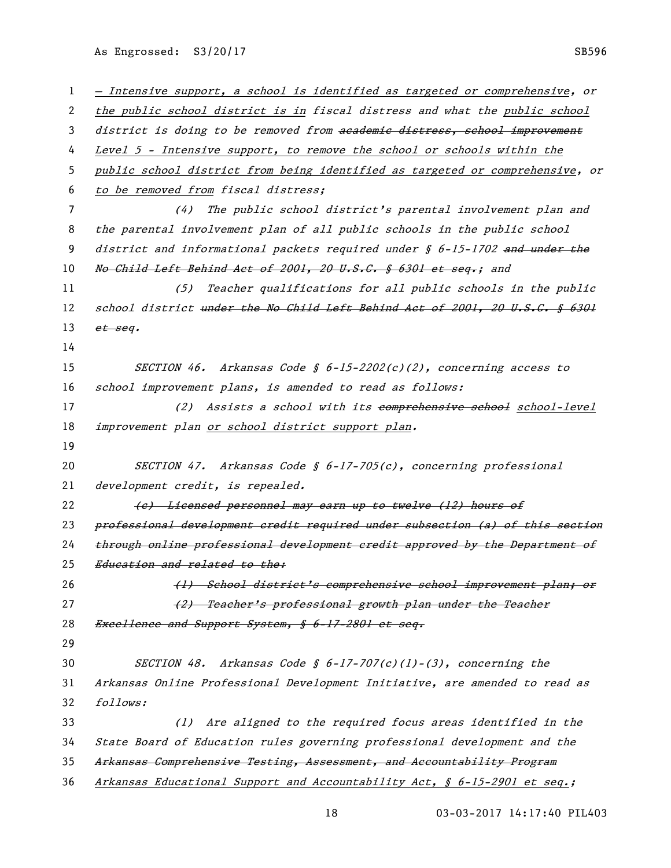| 1  | - Intensive support, a school is identified as targeted or comprehensive, or            |
|----|-----------------------------------------------------------------------------------------|
| 2  | the public school district is in fiscal distress and what the public school             |
| 3  | district is doing to be removed from academic distress, school improvement              |
| 4  | Level 5 - Intensive support, to remove the school or schools within the                 |
| 5  | public school district from being identified as targeted or comprehensive, or           |
| 6  | to be removed from fiscal distress;                                                     |
| 7  | The public school district's parental involvement plan and<br>(4)                       |
| 8  | the parental involvement plan of all public schools in the public school                |
| 9  | district and informational packets required under § 6-15-1702 and under the             |
| 10 | No Child Left Behind Act of 2001, 20 U.S.C. § 6301 et seq.; and                         |
| 11 | Teacher qualifications for all public schools in the public<br>(5)                      |
| 12 | school district <del>under the No-Child Left Behind Act of 2001, 20 U.S.C. § 6301</del> |
| 13 | et seq.                                                                                 |
| 14 |                                                                                         |
| 15 | SECTION 46. Arkansas Code § $6-15-2202(c)(2)$ , concerning access to                    |
| 16 | school improvement plans, is amended to read as follows:                                |
| 17 | Assists a school with its comprehensive school school-level<br>(2)                      |
| 18 | improvement plan or school district support plan.                                       |
| 19 |                                                                                         |
| 20 | SECTION 47. Arkansas Code § $6-17-705(c)$ , concerning professional                     |
| 21 | development credit, is repealed.                                                        |
| 22 | (e) Licensed personnel may earn up to twelve (12) hours of                              |
| 23 | professional development credit required under subsection (a) of this section           |
| 24 | through online professional development credit approved by the Department of            |
| 25 | Education and related to the:                                                           |
| 26 | (1) School district's comprehensive school improvement plan; or                         |
| 27 | (2) Teacher's professional growth plan under the Teacher                                |
| 28 | Excellence and Support System, § 6-17-2801 et seq.                                      |
| 29 |                                                                                         |
| 30 | SECTION 48. Arkansas Code § $6-17-707(c)(1)-(3)$ , concerning the                       |
| 31 | Arkansas Online Professional Development Initiative, are amended to read as             |
| 32 | follows:                                                                                |
| 33 | (1) Are aligned to the required focus areas identified in the                           |
| 34 | State Board of Education rules governing professional development and the               |
| 35 | Arkansas Comprehensive Testing, Assessment, and Accountability Program                  |
| 36 | Arkansas Educational Support and Accountability Act, § 6-15-2901 et seq.;               |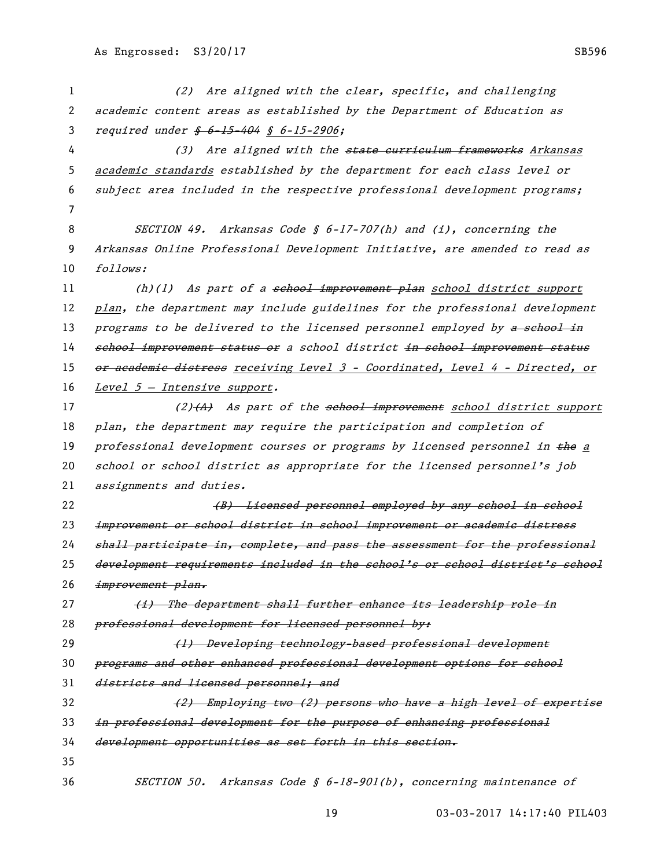1 (2) Are aligned with the clear, specific, and challenging 2 academic content areas as established by the Department of Education as 3 required under  $\frac{6}{5}$  6-15-404 § 6-15-2906; 4 (3) Are aligned with the state curriculum frameworks Arkansas 5 academic standards established by the department for each class level or 6 subject area included in the respective professional development programs; 7 8 SECTION 49. Arkansas Code § 6-17-707(h) and (i), concerning the 9 Arkansas Online Professional Development Initiative, are amended to read as 10 follows: 11 (h)(1) As part of a sehool improvement plan school district support 12 plan, the department may include guidelines for the professional development 13 programs to be delivered to the licensed personnel employed by a school in 14 school improvement status or a school district in school improvement status 15 or academic distress receiving Level 3 - Coordinated, Level 4 - Directed, or 16 Level  $5$  – Intensive support. 17 (2)(A) As part of the school improvement school district support 18 plan, the department may require the participation and completion of 19 professional development courses or programs by licensed personnel in the a 20 school or school district as appropriate for the licensed personnel's job 21 assignments and duties. 22 (B) Licensed personnel employed by any school in school 23 improvement or school district in school improvement or academic distress 24 shall participate in, complete, and pass the assessment for the professional 25 development requirements included in the school's or school district's school 26 <del>improvement plan.</del> 27 (*i)* The department shall further enhance its leadership role in 28 professional development for licensed personnel by: 29 (1) Developing technology-based professional development 30 programs and other enhanced professional development options for school 31 districts and licensed personnel; and 32 (2) Employing two (2) persons who have a high level of expertise 33 in professional development for the purpose of enhancing professional 34 development opportunities as set forth in this section. 35 36 SECTION 50. Arkansas Code § 6-18-901(b), concerning maintenance of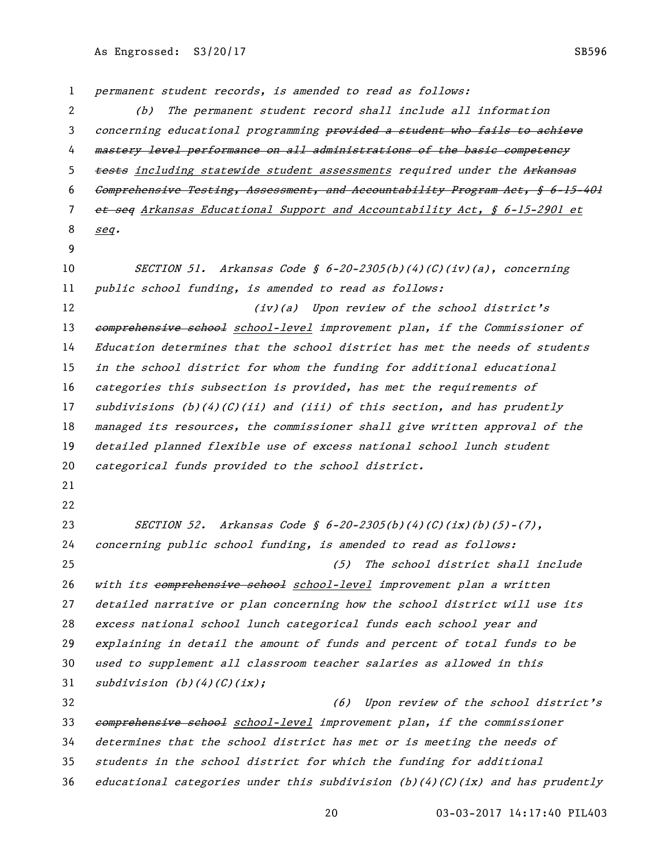permanent student records, is amended to read as follows: (b) The permanent student record shall include all information 3 concerning educational programming provided a student who fails to achieve mastery level performance on all administrations of the basic competency 5 tests including statewide student assessments required under the Arkansas Comprehensive Testing, Assessment, and Accountability Program Act, § 6-15-401 et seq Arkansas Educational Support and Accountability Act, § 6-15-2901 et 8 <u>seq</u>. 10 SECTION 51. Arkansas Code §  $6-20-2305(b)(4)(c)(iv)(a)$ , concerning public school funding, is amended to read as follows: (iv)(a) Upon review of the school district's 13 comprehensive school school-level improvement plan, if the Commissioner of Education determines that the school district has met the needs of students in the school district for whom the funding for additional educational categories this subsection is provided, has met the requirements of 17 subdivisions  $(b)(4)(C)(ii)$  and (iii) of this section, and has prudently managed its resources, the commissioner shall give written approval of the detailed planned flexible use of excess national school lunch student categorical funds provided to the school district. 23 SECTION 52. Arkansas Code § 6-20-2305(b)(4)(C)(ix)(b)(5)-(7), concerning public school funding, is amended to read as follows: (5) The school district shall include 26 with its comprehensive school school-level improvement plan a written detailed narrative or plan concerning how the school district will use its excess national school lunch categorical funds each school year and explaining in detail the amount of funds and percent of total funds to be used to supplement all classroom teacher salaries as allowed in this 31 subdivision  $(b)(4)(C)(ix);$ 

 (6) Upon review of the school district's comprehensive school school-level improvement plan, if the commissioner determines that the school district has met or is meeting the needs of students in the school district for which the funding for additional 36 educational categories under this subdivision  $(b)(4)(C)(ix)$  and has prudently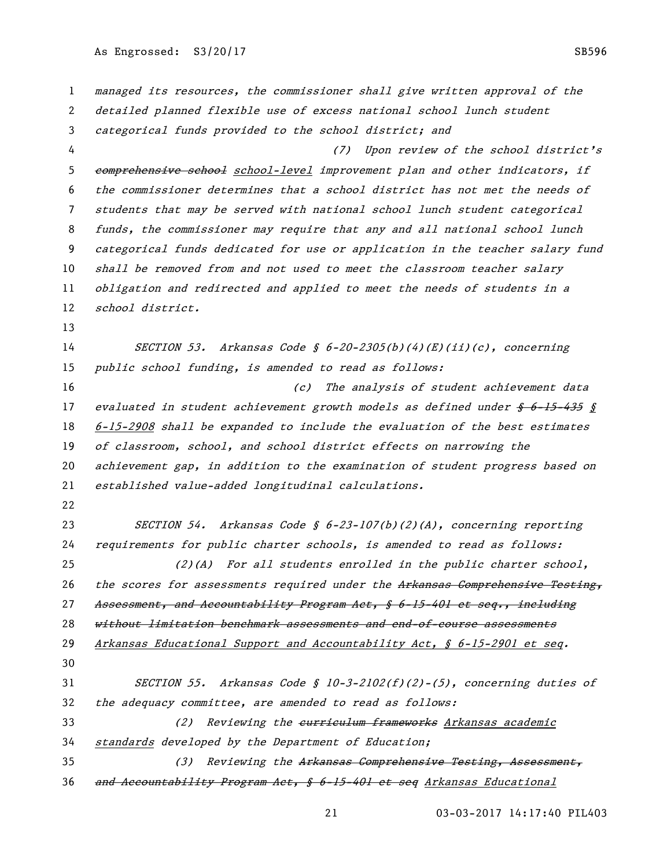managed its resources, the commissioner shall give written approval of the detailed planned flexible use of excess national school lunch student categorical funds provided to the school district; and (7) Upon review of the school district's 5 comprehensive school school-level improvement plan and other indicators, if the commissioner determines that a school district has not met the needs of students that may be served with national school lunch student categorical funds, the commissioner may require that any and all national school lunch categorical funds dedicated for use or application in the teacher salary fund 10 shall be removed from and not used to meet the classroom teacher salary obligation and redirected and applied to meet the needs of students in a school district. SECTION 53. Arkansas Code § 6-20-2305(b)(4)(E)(ii)(c), concerning 15 public school funding, is amended to read as follows: (c) The analysis of student achievement data 17 evaluated in student achievement growth models as defined under  $$6$ -15-435  $$$  6-15-2908 shall be expanded to include the evaluation of the best estimates of classroom, school, and school district effects on narrowing the achievement gap, in addition to the examination of student progress based on established value-added longitudinal calculations. SECTION 54. Arkansas Code § 6-23-107(b)(2)(A), concerning reporting requirements for public charter schools, is amended to read as follows: (2)(A) For all students enrolled in the public charter school, 26 the scores for assessments required under the Arkansas Comprehensive Testing, Assessment, and Accountability Program Act, § 6-15-401 et seq., including without limitation benchmark assessments and end-of-course assessments Arkansas Educational Support and Accountability Act, § 6-15-2901 et seq. SECTION 55. Arkansas Code § 10-3-2102(f)(2)-(5), concerning duties of the adequacy committee, are amended to read as follows: 33 (2) Reviewing the eurriculum frameworks Arkansas academic standards developed by the Department of Education; 35 (3) Reviewing the Arkansas Comprehensive Testing, Assessment, and Accountability Program Act, § 6-15-401 et seq Arkansas Educational